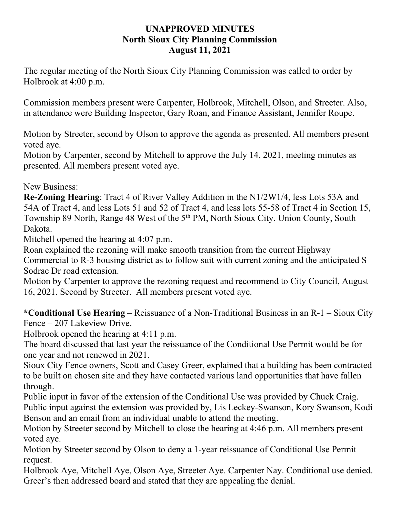## **UNAPPROVED MINUTES North Sioux City Planning Commission August 11, 2021**

The regular meeting of the North Sioux City Planning Commission was called to order by Holbrook at 4:00 p.m.

Commission members present were Carpenter, Holbrook, Mitchell, Olson, and Streeter. Also, in attendance were Building Inspector, Gary Roan, and Finance Assistant, Jennifer Roupe.

Motion by Streeter, second by Olson to approve the agenda as presented. All members present voted aye.

Motion by Carpenter, second by Mitchell to approve the July 14, 2021, meeting minutes as presented. All members present voted aye.

New Business:

**Re-Zoning Hearing**: Tract 4 of River Valley Addition in the N1/2W1/4, less Lots 53A and 54A of Tract 4, and less Lots 51 and 52 of Tract 4, and less lots 55-58 of Tract 4 in Section 15, Township 89 North, Range 48 West of the 5<sup>th</sup> PM, North Sioux City, Union County, South Dakota.

Mitchell opened the hearing at 4:07 p.m.

Roan explained the rezoning will make smooth transition from the current Highway Commercial to R-3 housing district as to follow suit with current zoning and the anticipated S Sodrac Dr road extension.

Motion by Carpenter to approve the rezoning request and recommend to City Council, August 16, 2021. Second by Streeter. All members present voted aye.

**\*Conditional Use Hearing** – Reissuance of a Non-Traditional Business in an R-1 – Sioux City Fence – 207 Lakeview Drive.

Holbrook opened the hearing at 4:11 p.m.

The board discussed that last year the reissuance of the Conditional Use Permit would be for one year and not renewed in 2021.

Sioux City Fence owners, Scott and Casey Greer, explained that a building has been contracted to be built on chosen site and they have contacted various land opportunities that have fallen through.

Public input in favor of the extension of the Conditional Use was provided by Chuck Craig. Public input against the extension was provided by, Lis Leckey-Swanson, Kory Swanson, Kodi Benson and an email from an individual unable to attend the meeting.

Motion by Streeter second by Mitchell to close the hearing at 4:46 p.m. All members present voted aye.

Motion by Streeter second by Olson to deny a 1-year reissuance of Conditional Use Permit request.

Holbrook Aye, Mitchell Aye, Olson Aye, Streeter Aye. Carpenter Nay. Conditional use denied. Greer's then addressed board and stated that they are appealing the denial.